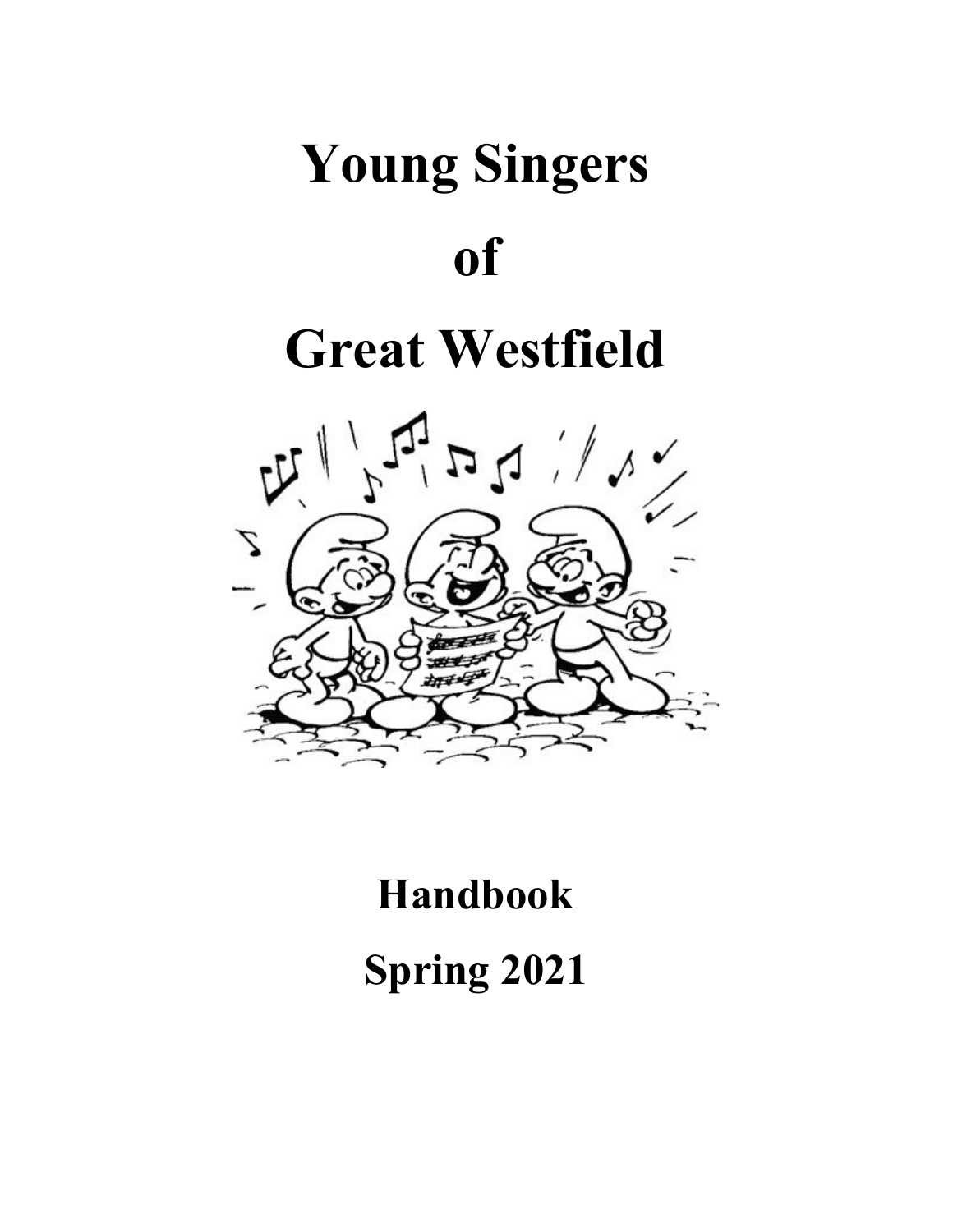# **Young Singers of**

# **Great Westfield**



## **Handbook**

**Spring 2021**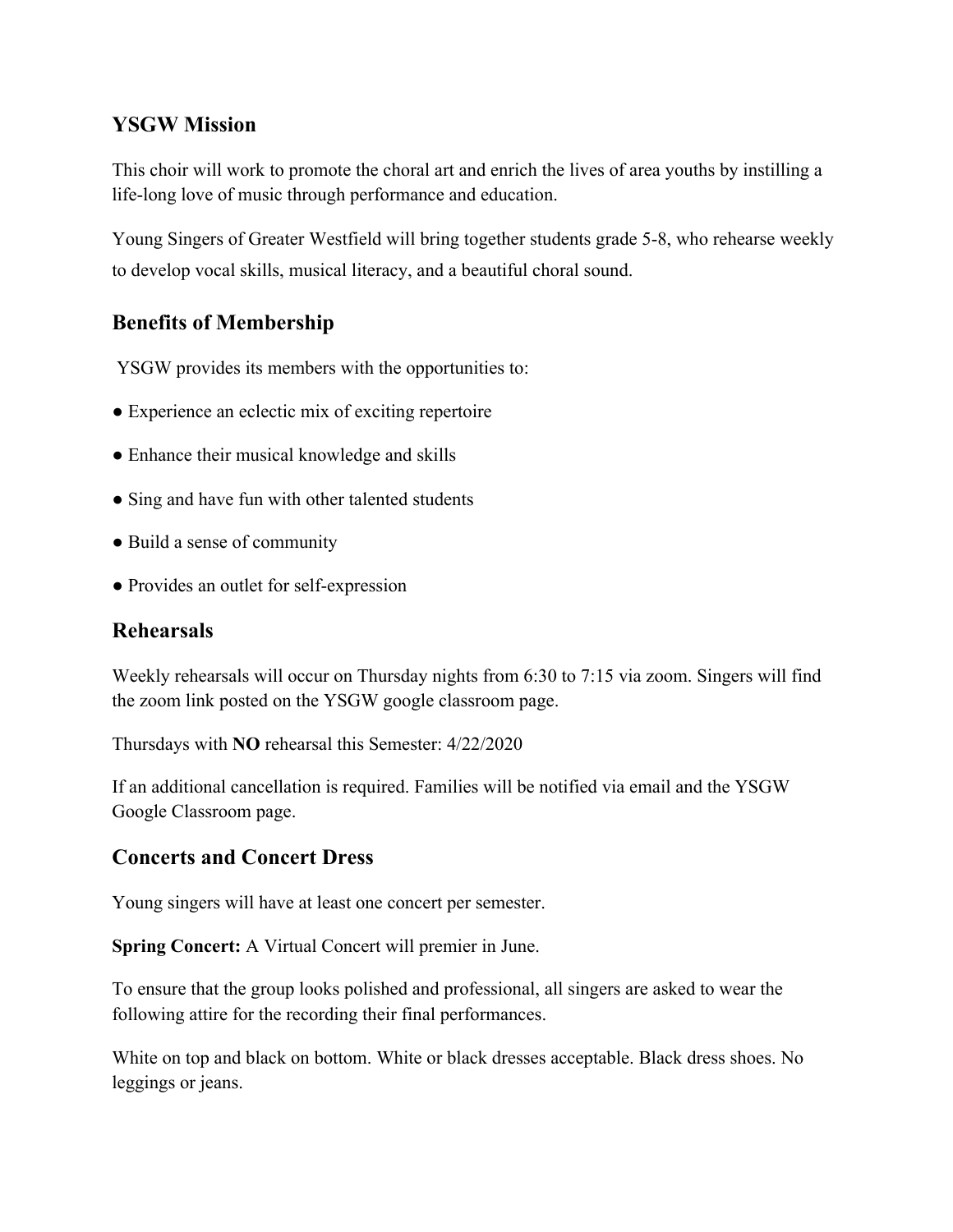#### **YSGW Mission**

This choir will work to promote the choral art and enrich the lives of area youths by instilling a life-long love of music through performance and education.

Young Singers of Greater Westfield will bring together students grade 5-8, who rehearse weekly to develop vocal skills, musical literacy, and a beautiful choral sound.

#### **Benefits of Membership**

YSGW provides its members with the opportunities to:

- Experience an eclectic mix of exciting repertoire
- Enhance their musical knowledge and skills
- Sing and have fun with other talented students
- Build a sense of community
- Provides an outlet for self-expression

#### **Rehearsals**

Weekly rehearsals will occur on Thursday nights from 6:30 to 7:15 via zoom. Singers will find the zoom link posted on the YSGW google classroom page.

Thursdays with **NO** rehearsal this Semester: 4/22/2020

If an additional cancellation is required. Families will be notified via email and the YSGW Google Classroom page.

#### **Concerts and Concert Dress**

Young singers will have at least one concert per semester.

**Spring Concert:** A Virtual Concert will premier in June.

To ensure that the group looks polished and professional, all singers are asked to wear the following attire for the recording their final performances.

White on top and black on bottom. White or black dresses acceptable. Black dress shoes. No leggings or jeans.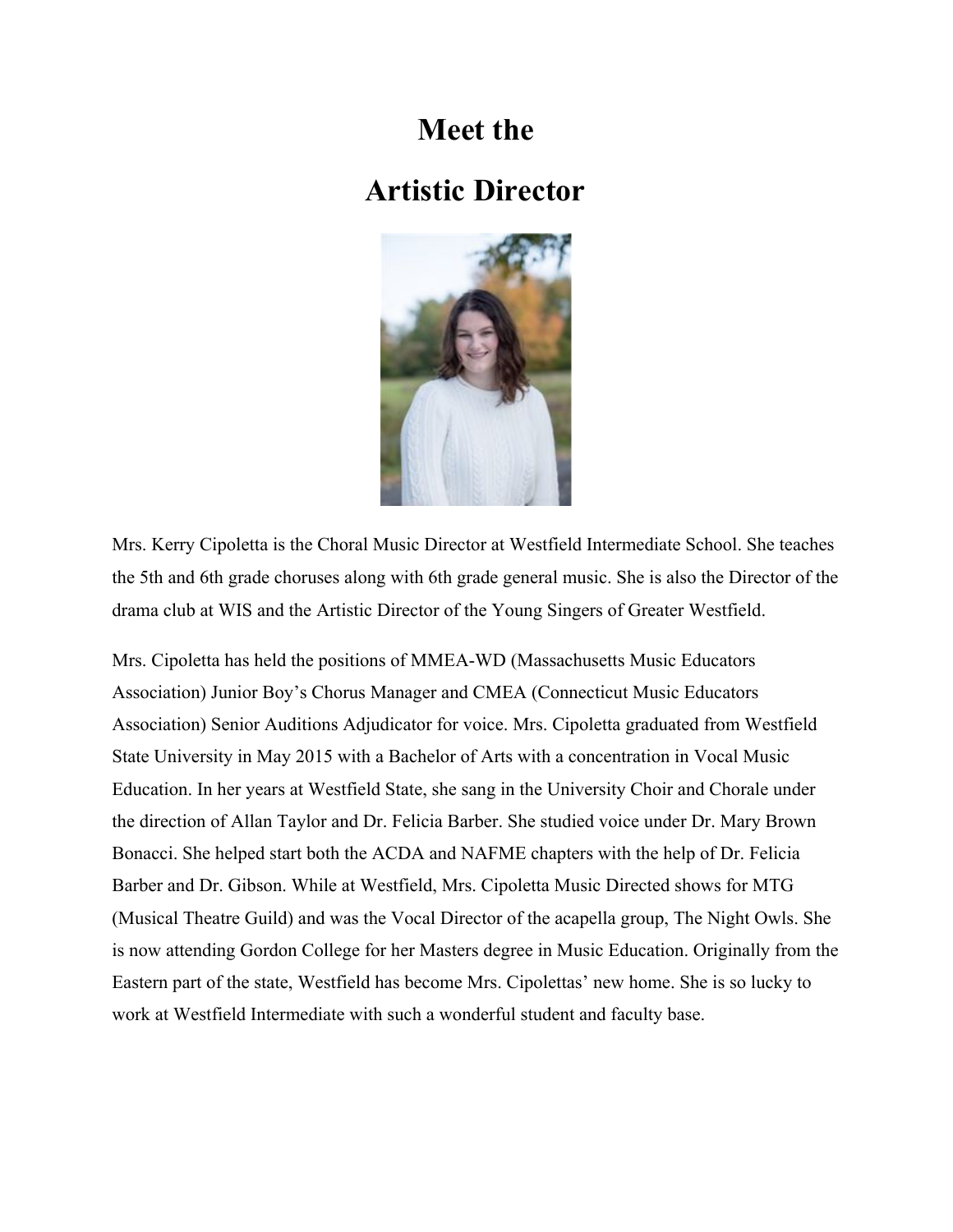### **Meet the**

### **Artistic Director**



Mrs. Kerry Cipoletta is the Choral Music Director at Westfield Intermediate School. She teaches the 5th and 6th grade choruses along with 6th grade general music. She is also the Director of the drama club at WIS and the Artistic Director of the Young Singers of Greater Westfield.

Mrs. Cipoletta has held the positions of MMEA-WD (Massachusetts Music Educators Association) Junior Boy's Chorus Manager and CMEA (Connecticut Music Educators Association) Senior Auditions Adjudicator for voice. Mrs. Cipoletta graduated from Westfield State University in May 2015 with a Bachelor of Arts with a concentration in Vocal Music Education. In her years at Westfield State, she sang in the University Choir and Chorale under the direction of Allan Taylor and Dr. Felicia Barber. She studied voice under Dr. Mary Brown Bonacci. She helped start both the ACDA and NAFME chapters with the help of Dr. Felicia Barber and Dr. Gibson. While at Westfield, Mrs. Cipoletta Music Directed shows for MTG (Musical Theatre Guild) and was the Vocal Director of the acapella group, The Night Owls. She is now attending Gordon College for her Masters degree in Music Education. Originally from the Eastern part of the state, Westfield has become Mrs. Cipolettas' new home. She is so lucky to work at Westfield Intermediate with such a wonderful student and faculty base.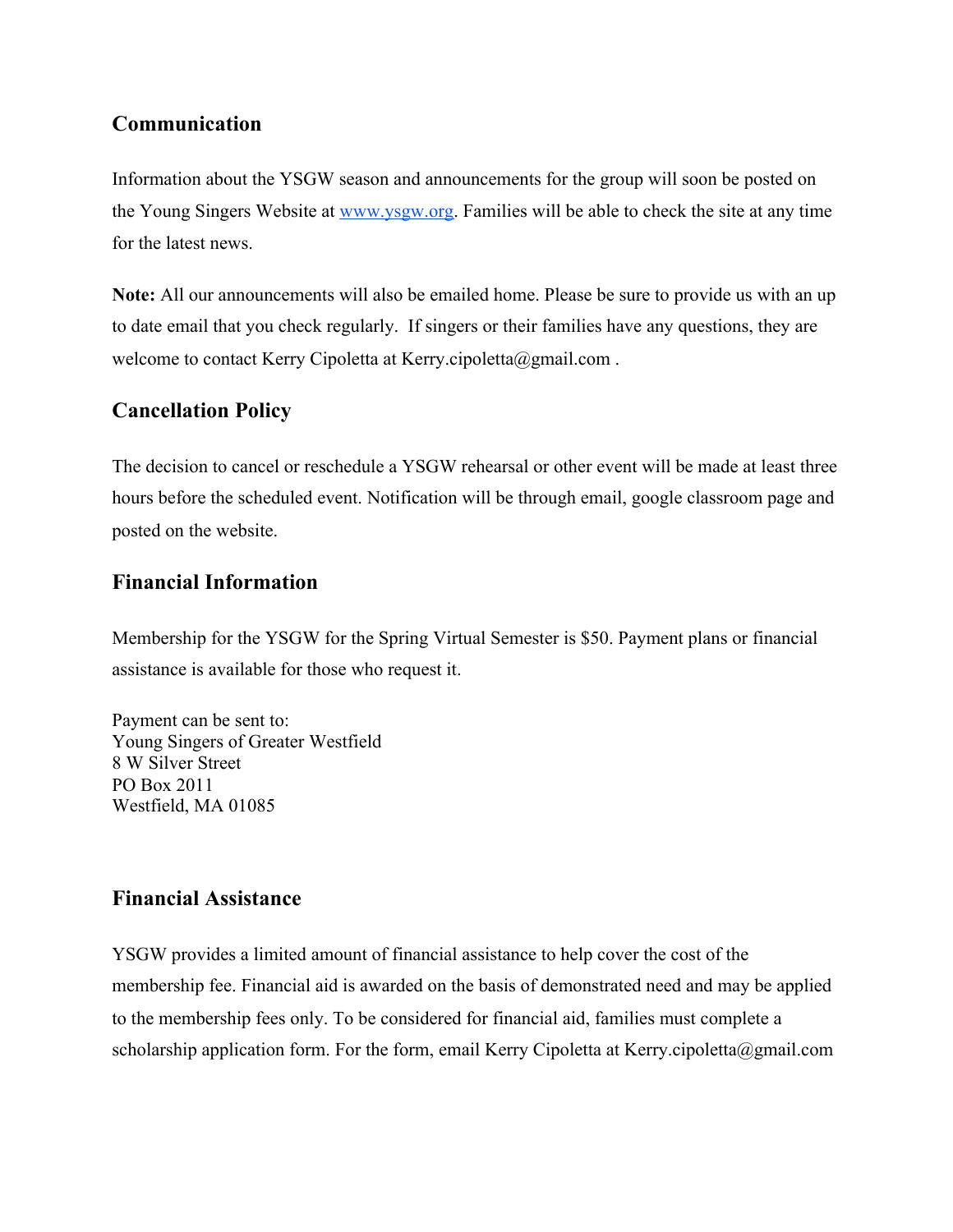#### **Communication**

Information about the YSGW season and announcements for the group will soon be posted on the Young Singers Website at [www.ysgw.org.](http://www.ysgw.org/) Families will be able to check the site at any time for the latest news.

**Note:** All our announcements will also be emailed home. Please be sure to provide us with an up to date email that you check regularly. If singers or their families have any questions, they are welcome to contact Kerry Cipoletta at Kerry.cipoletta@gmail.com .

#### **Cancellation Policy**

The decision to cancel or reschedule a YSGW rehearsal or other event will be made at least three hours before the scheduled event. Notification will be through email, google classroom page and posted on the website.

#### **Financial Information**

Membership for the YSGW for the Spring Virtual Semester is \$50. Payment plans or financial assistance is available for those who request it.

Payment can be sent to: Young Singers of Greater Westfield 8 W Silver Street PO Box 2011 Westfield, MA 01085

#### **Financial Assistance**

YSGW provides a limited amount of financial assistance to help cover the cost of the membership fee. Financial aid is awarded on the basis of demonstrated need and may be applied to the membership fees only. To be considered for financial aid, families must complete a scholarship application form. For the form, email Kerry Cipoletta at Kerry.cipoletta@gmail.com